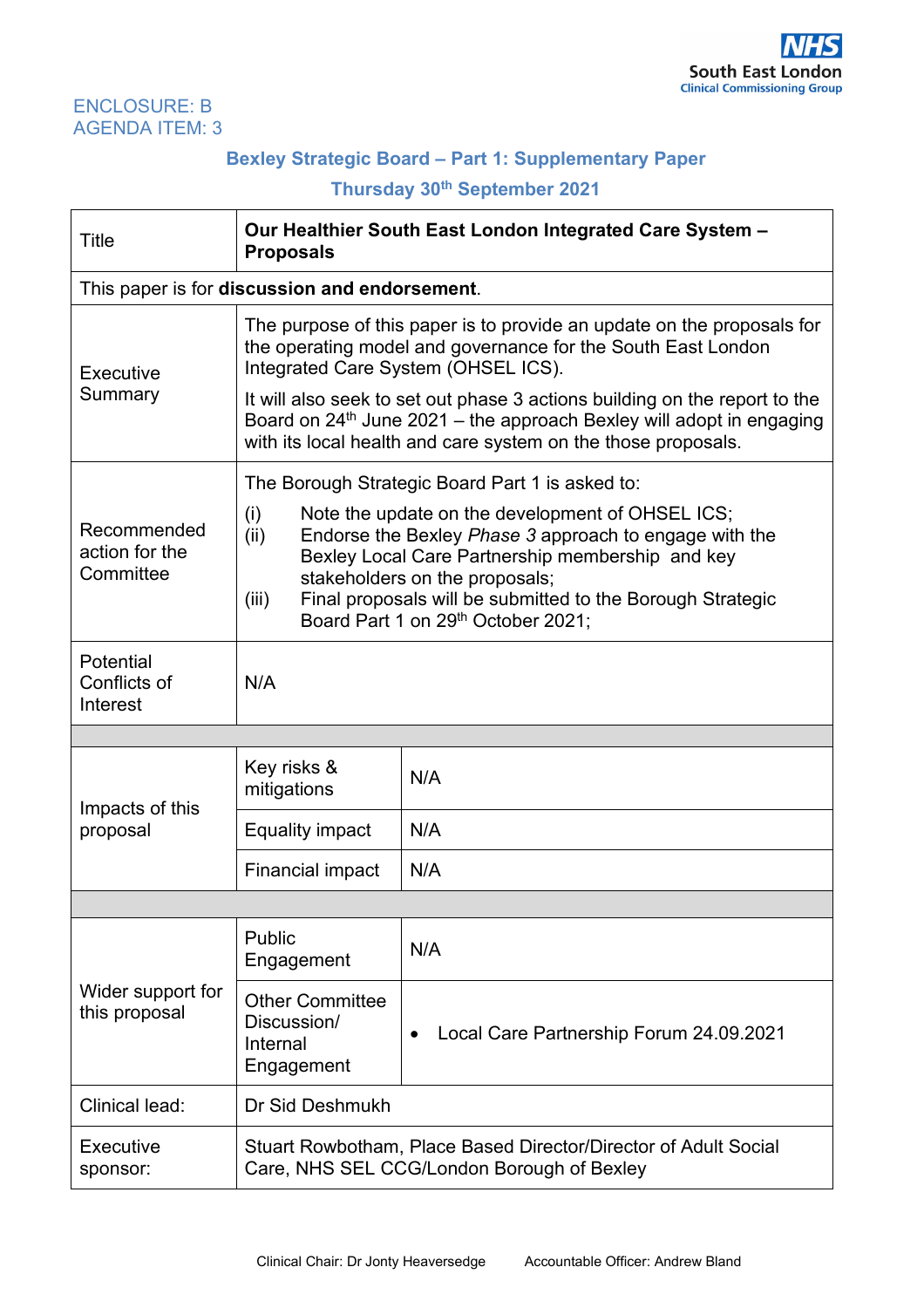### ENCLOSURE: B AGENDA ITEM: 3

# **Bexley Strategic Board – Part 1: Supplementary Paper**

# **Thursday 30th September 2021**

| Title                                      | Our Healthier South East London Integrated Care System -<br><b>Proposals</b>                                                                                                                                                                                                                                                 |                                                      |  |
|--------------------------------------------|------------------------------------------------------------------------------------------------------------------------------------------------------------------------------------------------------------------------------------------------------------------------------------------------------------------------------|------------------------------------------------------|--|
|                                            | This paper is for discussion and endorsement.                                                                                                                                                                                                                                                                                |                                                      |  |
| Executive<br>Summary                       | The purpose of this paper is to provide an update on the proposals for<br>the operating model and governance for the South East London<br>Integrated Care System (OHSEL ICS).<br>It will also seek to set out phase 3 actions building on the report to the                                                                  |                                                      |  |
|                                            | Board on $24th$ June 2021 – the approach Bexley will adopt in engaging<br>with its local health and care system on the those proposals.                                                                                                                                                                                      |                                                      |  |
|                                            | The Borough Strategic Board Part 1 is asked to:                                                                                                                                                                                                                                                                              |                                                      |  |
| Recommended<br>action for the<br>Committee | Note the update on the development of OHSEL ICS;<br>(i)<br>Endorse the Bexley Phase 3 approach to engage with the<br>(ii)<br>Bexley Local Care Partnership membership and key<br>stakeholders on the proposals;<br>Final proposals will be submitted to the Borough Strategic<br>(iii)<br>Board Part 1 on 29th October 2021; |                                                      |  |
| Potential<br>Conflicts of<br>Interest      | N/A                                                                                                                                                                                                                                                                                                                          |                                                      |  |
|                                            |                                                                                                                                                                                                                                                                                                                              |                                                      |  |
| Impacts of this                            | Key risks &<br>mitigations                                                                                                                                                                                                                                                                                                   | N/A                                                  |  |
| proposal                                   | <b>Equality impact</b>                                                                                                                                                                                                                                                                                                       | N/A                                                  |  |
|                                            | Financial impact                                                                                                                                                                                                                                                                                                             | N/A                                                  |  |
|                                            |                                                                                                                                                                                                                                                                                                                              |                                                      |  |
| Wider support for<br>this proposal         | Public<br>Engagement                                                                                                                                                                                                                                                                                                         | N/A                                                  |  |
|                                            | <b>Other Committee</b><br>Discussion/<br>Internal<br>Engagement                                                                                                                                                                                                                                                              | Local Care Partnership Forum 24.09.2021<br>$\bullet$ |  |
| Clinical lead:                             | Dr Sid Deshmukh                                                                                                                                                                                                                                                                                                              |                                                      |  |
| Executive<br>sponsor:                      | Stuart Rowbotham, Place Based Director/Director of Adult Social<br>Care, NHS SEL CCG/London Borough of Bexley                                                                                                                                                                                                                |                                                      |  |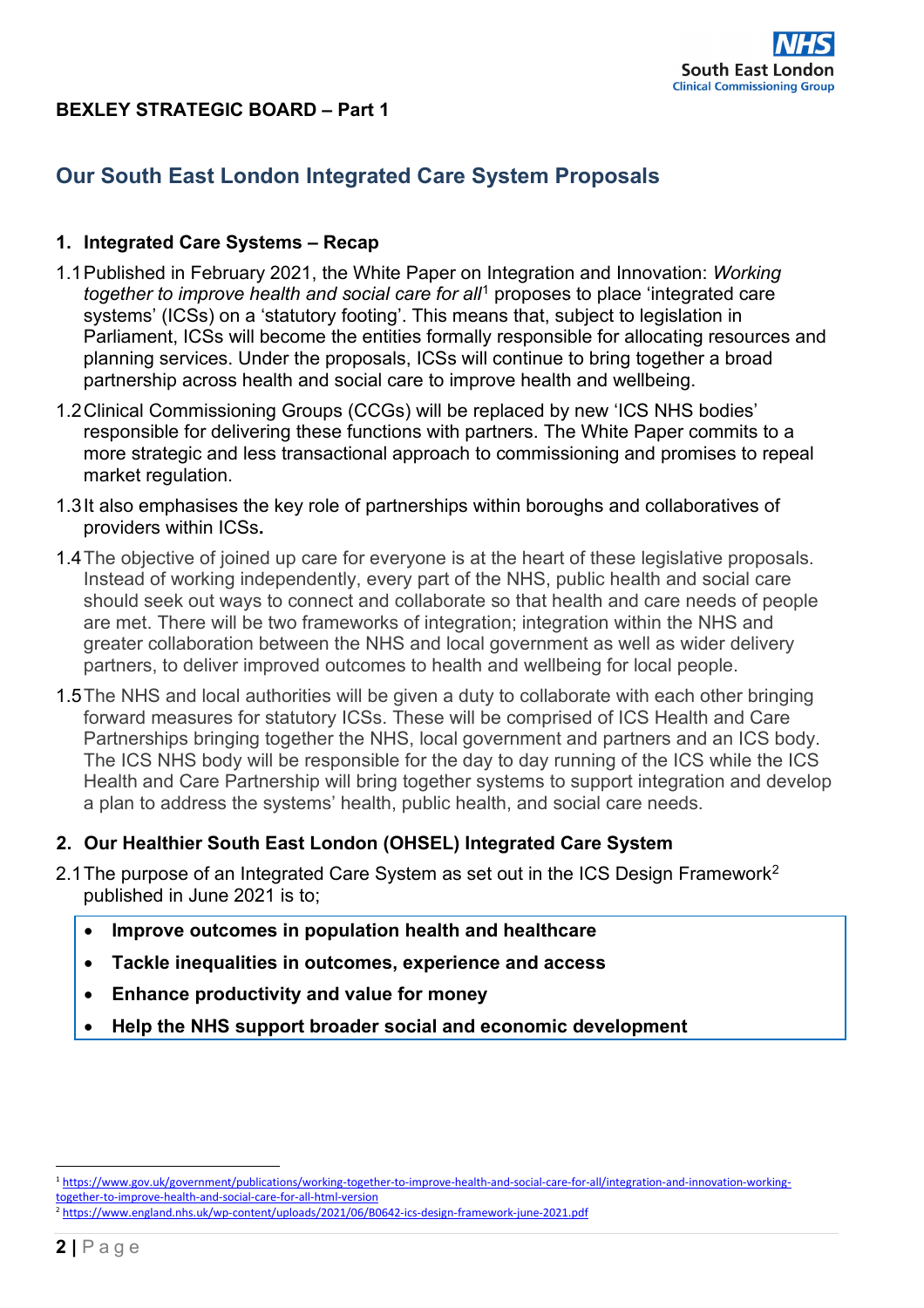

## **BEXLEY STRATEGIC BOARD – Part 1**

# **Our South East London Integrated Care System Proposals**

### **1. Integrated Care Systems – Recap**

- 1.1Published in February 2021, the White Paper on Integration and Innovation: *Working together to improve health and social care for all*[1](#page-1-0) proposes to place 'integrated care systems' (ICSs) on a 'statutory footing'. This means that, subject to legislation in Parliament, ICSs will become the entities formally responsible for allocating resources and planning services. Under the proposals, ICSs will continue to bring together a broad partnership across health and social care to improve health and wellbeing.
- 1.2Clinical Commissioning Groups (CCGs) will be replaced by new 'ICS NHS bodies' responsible for delivering these functions with partners. The White Paper commits to a more strategic and less transactional approach to commissioning and promises to repeal market regulation.
- 1.3It also emphasises the key role of partnerships within boroughs and collaboratives of providers within ICSs**.**
- 1.4The objective of joined up care for everyone is at the heart of these legislative proposals. Instead of working independently, every part of the NHS, public health and social care should seek out ways to connect and collaborate so that health and care needs of people are met. There will be two frameworks of integration; integration within the NHS and greater collaboration between the NHS and local government as well as wider delivery partners, to deliver improved outcomes to health and wellbeing for local people.
- 1.5The NHS and local authorities will be given a duty to collaborate with each other bringing forward measures for statutory ICSs. These will be comprised of ICS Health and Care Partnerships bringing together the NHS, local government and partners and an ICS body. The ICS NHS body will be responsible for the day to day running of the ICS while the ICS Health and Care Partnership will bring together systems to support integration and develop a plan to address the systems' health, public health, and social care needs.

### **2. Our Healthier South East London (OHSEL) Integrated Care System**

- [2](#page-1-1).1 The purpose of an Integrated Care System as set out in the ICS Design Framework<sup>2</sup> published in June 2021 is to;
	- **Improve outcomes in population health and healthcare**
	- **Tackle inequalities in outcomes, experience and access**
	- **Enhance productivity and value for money**
	- **Help the NHS support broader social and economic development**

<span id="page-1-0"></span><sup>1</sup> [https://www.gov.uk/government/publications/working-together-to-improve-health-and-social-care-for-all/integration-and-innovation-working](https://www.gov.uk/government/publications/working-together-to-improve-health-and-social-care-for-all/integration-and-innovation-working-together-to-improve-health-and-social-care-for-all-html-version)[together-to-improve-health-and-social-care-for-all-html-version](https://www.gov.uk/government/publications/working-together-to-improve-health-and-social-care-for-all/integration-and-innovation-working-together-to-improve-health-and-social-care-for-all-html-version)

<span id="page-1-1"></span><sup>2</sup> <https://www.england.nhs.uk/wp-content/uploads/2021/06/B0642-ics-design-framework-june-2021.pdf>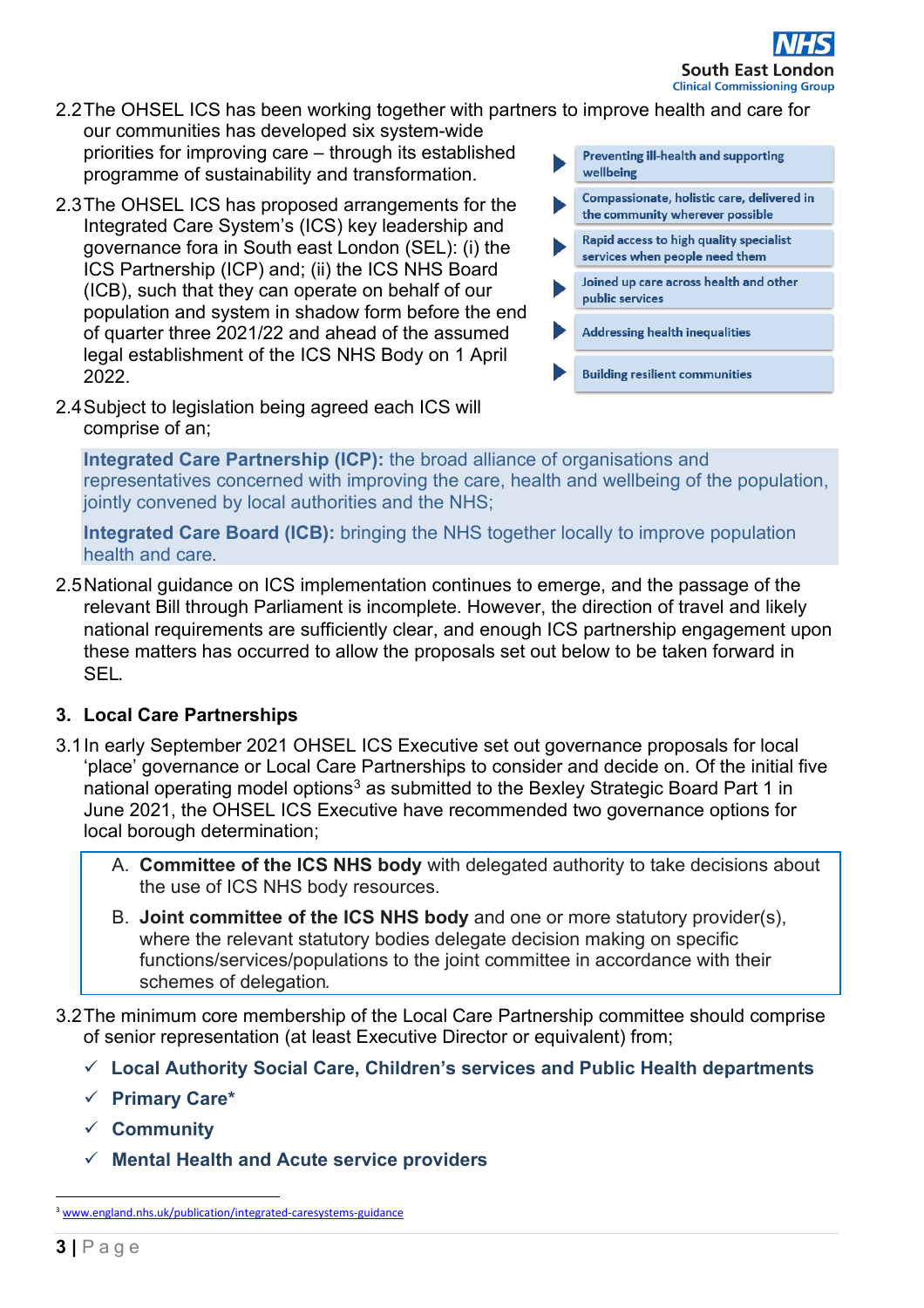- 2.2The OHSEL ICS has been working together with partners to improve health and care for our communities has developed six system-wide
- priorities for improving care through its established programme of sustainability and transformation.
- 2.3The OHSEL ICS has proposed arrangements for the Integrated Care System's (ICS) key leadership and governance fora in South east London (SEL): (i) the ICS Partnership (ICP) and; (ii) the ICS NHS Board (ICB), such that they can operate on behalf of our population and system in shadow form before the end of quarter three 2021/22 and ahead of the assumed legal establishment of the ICS NHS Body on 1 April 2022.
- 2.4Subject to legislation being agreed each ICS will comprise of an;

**Preventing ill-health and supporting** wellbeing

- Compassionate, holistic care, delivered in the community wherever possible
- Rapid access to high quality specialist services when people need them
- Joined up care across health and other public services
- **Addressing health inequalities**
- **Building resilient communities**

**Integrated Care Partnership (ICP):** the broad alliance of organisations and representatives concerned with improving the care, health and wellbeing of the population, jointly convened by local authorities and the NHS;

**Integrated Care Board (ICB):** bringing the NHS together locally to improve population health and care.

2.5National guidance on ICS implementation continues to emerge, and the passage of the relevant Bill through Parliament is incomplete. However, the direction of travel and likely national requirements are sufficiently clear, and enough ICS partnership engagement upon these matters has occurred to allow the proposals set out below to be taken forward in SEL.

# **3. Local Care Partnerships**

- 3.1In early September 2021 OHSEL ICS Executive set out governance proposals for local 'place' governance or Local Care Partnerships to consider and decide on. Of the initial five national operating model options<sup>[3](#page-2-0)</sup> as submitted to the Bexley Strategic Board Part 1 in June 2021, the OHSEL ICS Executive have recommended two governance options for local borough determination;
	- A. **Committee of the ICS NHS body** with delegated authority to take decisions about the use of ICS NHS body resources.
	- B. **Joint committee of the ICS NHS body** and one or more statutory provider(s), where the relevant statutory bodies delegate decision making on specific functions/services/populations to the joint committee in accordance with their schemes of delegation*.*
- 3.2The minimum core membership of the Local Care Partnership committee should comprise of senior representation (at least Executive Director or equivalent) from;
	- **Local Authority Social Care, Children's services and Public Health departments**
	- **Primary Care\***
	- **Community**
	- **Mental Health and Acute service providers**

<span id="page-2-0"></span><sup>&</sup>lt;sup>3</sup> [www.england.nhs.uk/publication/integrated-caresystems-guidance](http://www.england.nhs.uk/publication/integrated-care-systems-guidance)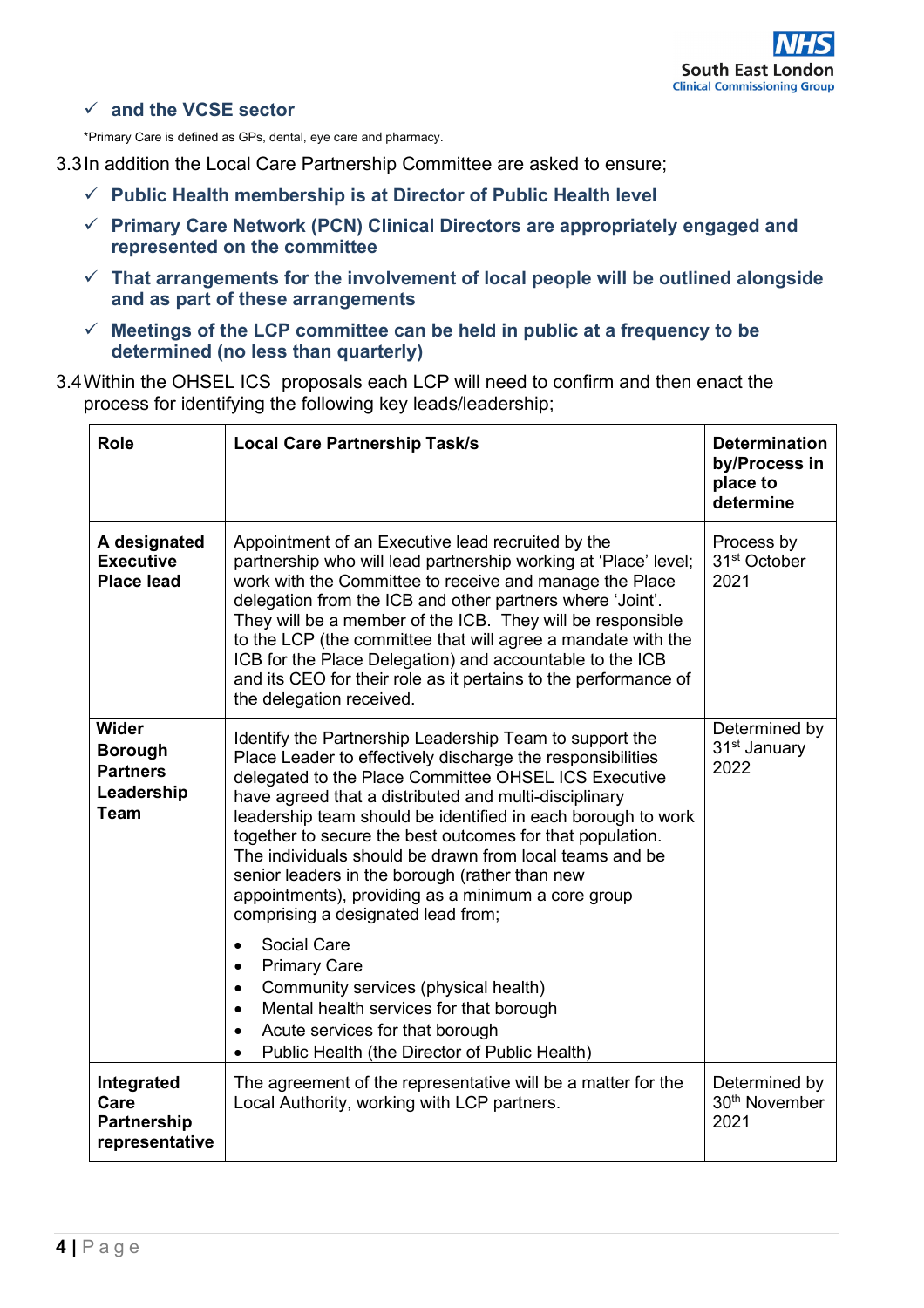

## **and the VCSE sector**

\*Primary Care is defined as GPs, dental, eye care and pharmacy.

- 3.3In addition the Local Care Partnership Committee are asked to ensure;
	- **Public Health membership is at Director of Public Health level**
	- **Primary Care Network (PCN) Clinical Directors are appropriately engaged and represented on the committee**
	- **That arrangements for the involvement of local people will be outlined alongside and as part of these arrangements**
	- **Meetings of the LCP committee can be held in public at a frequency to be determined (no less than quarterly)**
- 3.4Within the OHSEL ICS proposals each LCP will need to confirm and then enact the process for identifying the following key leads/leadership;

| <b>Role</b>                                                             | <b>Local Care Partnership Task/s</b>                                                                                                                                                                                                                                                                                                                                                                                                                                                                                                                                         | <b>Determination</b><br>by/Process in<br>place to<br>determine |
|-------------------------------------------------------------------------|------------------------------------------------------------------------------------------------------------------------------------------------------------------------------------------------------------------------------------------------------------------------------------------------------------------------------------------------------------------------------------------------------------------------------------------------------------------------------------------------------------------------------------------------------------------------------|----------------------------------------------------------------|
| A designated<br><b>Executive</b><br><b>Place lead</b>                   | Appointment of an Executive lead recruited by the<br>partnership who will lead partnership working at 'Place' level;<br>work with the Committee to receive and manage the Place<br>delegation from the ICB and other partners where 'Joint'.<br>They will be a member of the ICB. They will be responsible<br>to the LCP (the committee that will agree a mandate with the<br>ICB for the Place Delegation) and accountable to the ICB<br>and its CEO for their role as it pertains to the performance of<br>the delegation received.                                        | Process by<br>31 <sup>st</sup> October<br>2021                 |
| Wider<br><b>Borough</b><br><b>Partners</b><br>Leadership<br><b>Team</b> | Identify the Partnership Leadership Team to support the<br>Place Leader to effectively discharge the responsibilities<br>delegated to the Place Committee OHSEL ICS Executive<br>have agreed that a distributed and multi-disciplinary<br>leadership team should be identified in each borough to work<br>together to secure the best outcomes for that population.<br>The individuals should be drawn from local teams and be<br>senior leaders in the borough (rather than new<br>appointments), providing as a minimum a core group<br>comprising a designated lead from; | Determined by<br>31 <sup>st</sup> January<br>2022              |
|                                                                         | Social Care<br><b>Primary Care</b><br>Community services (physical health)<br>Mental health services for that borough<br>$\bullet$<br>Acute services for that borough<br>Public Health (the Director of Public Health)                                                                                                                                                                                                                                                                                                                                                       |                                                                |
| Integrated<br>Care<br><b>Partnership</b><br>representative              | The agreement of the representative will be a matter for the<br>Local Authority, working with LCP partners.                                                                                                                                                                                                                                                                                                                                                                                                                                                                  | Determined by<br>30 <sup>th</sup> November<br>2021             |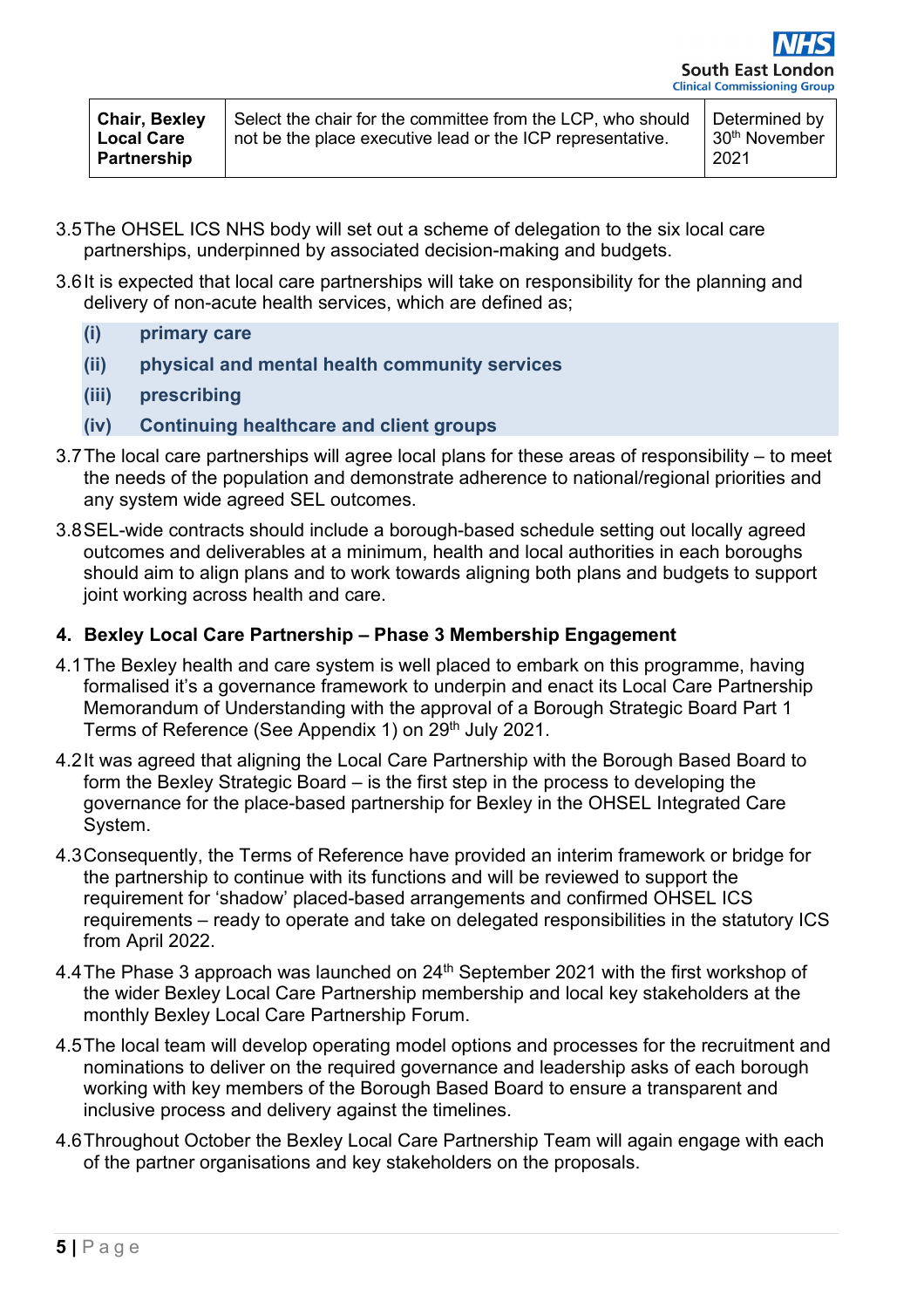| <b>Chair, Bexley</b><br><b>Local Care</b><br><b>Partnership</b> | Select the chair for the committee from the LCP, who should<br>not be the place executive lead or the ICP representative. | Determined by<br>30 <sup>th</sup> November<br>2021 |
|-----------------------------------------------------------------|---------------------------------------------------------------------------------------------------------------------------|----------------------------------------------------|
|-----------------------------------------------------------------|---------------------------------------------------------------------------------------------------------------------------|----------------------------------------------------|

- 3.5The OHSEL ICS NHS body will set out a scheme of delegation to the six local care partnerships, underpinned by associated decision-making and budgets.
- 3.6It is expected that local care partnerships will take on responsibility for the planning and delivery of non-acute health services, which are defined as;
	- **(i) primary care**
	- **(ii) physical and mental health community services**
	- **(iii) prescribing**
	- **(iv) Continuing healthcare and client groups**
- 3.7The local care partnerships will agree local plans for these areas of responsibility to meet the needs of the population and demonstrate adherence to national/regional priorities and any system wide agreed SEL outcomes.
- 3.8SEL-wide contracts should include a borough-based schedule setting out locally agreed outcomes and deliverables at a minimum, health and local authorities in each boroughs should aim to align plans and to work towards aligning both plans and budgets to support joint working across health and care.

### **4. Bexley Local Care Partnership – Phase 3 Membership Engagement**

- 4.1The Bexley health and care system is well placed to embark on this programme, having formalised it's a governance framework to underpin and enact its Local Care Partnership Memorandum of Understanding with the approval of a Borough Strategic Board Part 1 Terms of Reference (See Appendix 1) on 29<sup>th</sup> July 2021.
- 4.2It was agreed that aligning the Local Care Partnership with the Borough Based Board to form the Bexley Strategic Board – is the first step in the process to developing the governance for the place-based partnership for Bexley in the OHSEL Integrated Care System.
- 4.3Consequently, the Terms of Reference have provided an interim framework or bridge for the partnership to continue with its functions and will be reviewed to support the requirement for 'shadow' placed-based arrangements and confirmed OHSEL ICS requirements – ready to operate and take on delegated responsibilities in the statutory ICS from April 2022.
- 4.4 The Phase 3 approach was launched on 24<sup>th</sup> September 2021 with the first workshop of the wider Bexley Local Care Partnership membership and local key stakeholders at the monthly Bexley Local Care Partnership Forum.
- 4.5The local team will develop operating model options and processes for the recruitment and nominations to deliver on the required governance and leadership asks of each borough working with key members of the Borough Based Board to ensure a transparent and inclusive process and delivery against the timelines.
- 4.6Throughout October the Bexley Local Care Partnership Team will again engage with each of the partner organisations and key stakeholders on the proposals.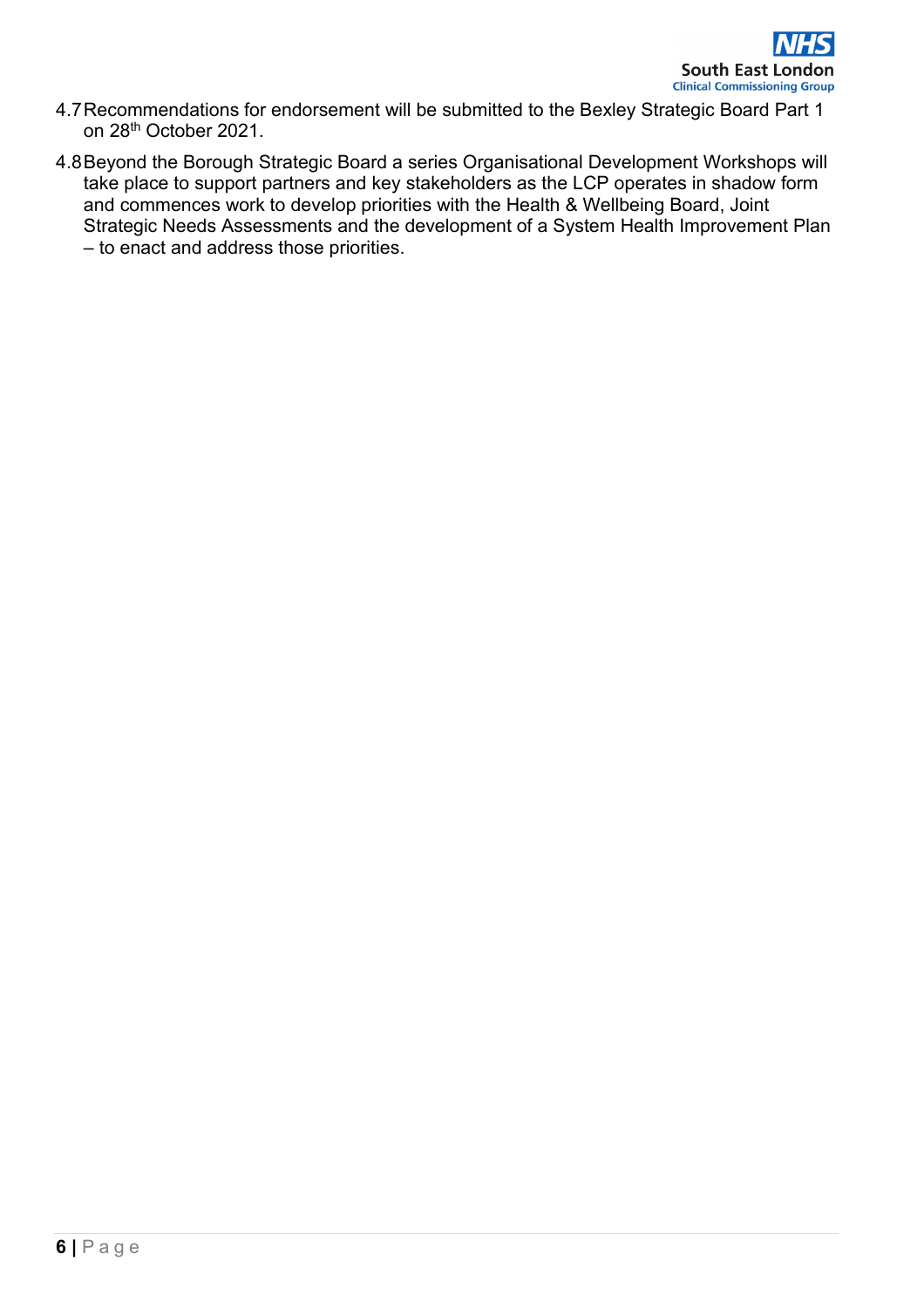- 4.7Recommendations for endorsement will be submitted to the Bexley Strategic Board Part 1 on 28th October 2021.
- 4.8Beyond the Borough Strategic Board a series Organisational Development Workshops will take place to support partners and key stakeholders as the LCP operates in shadow form and commences work to develop priorities with the Health & Wellbeing Board, Joint Strategic Needs Assessments and the development of a System Health Improvement Plan – to enact and address those priorities.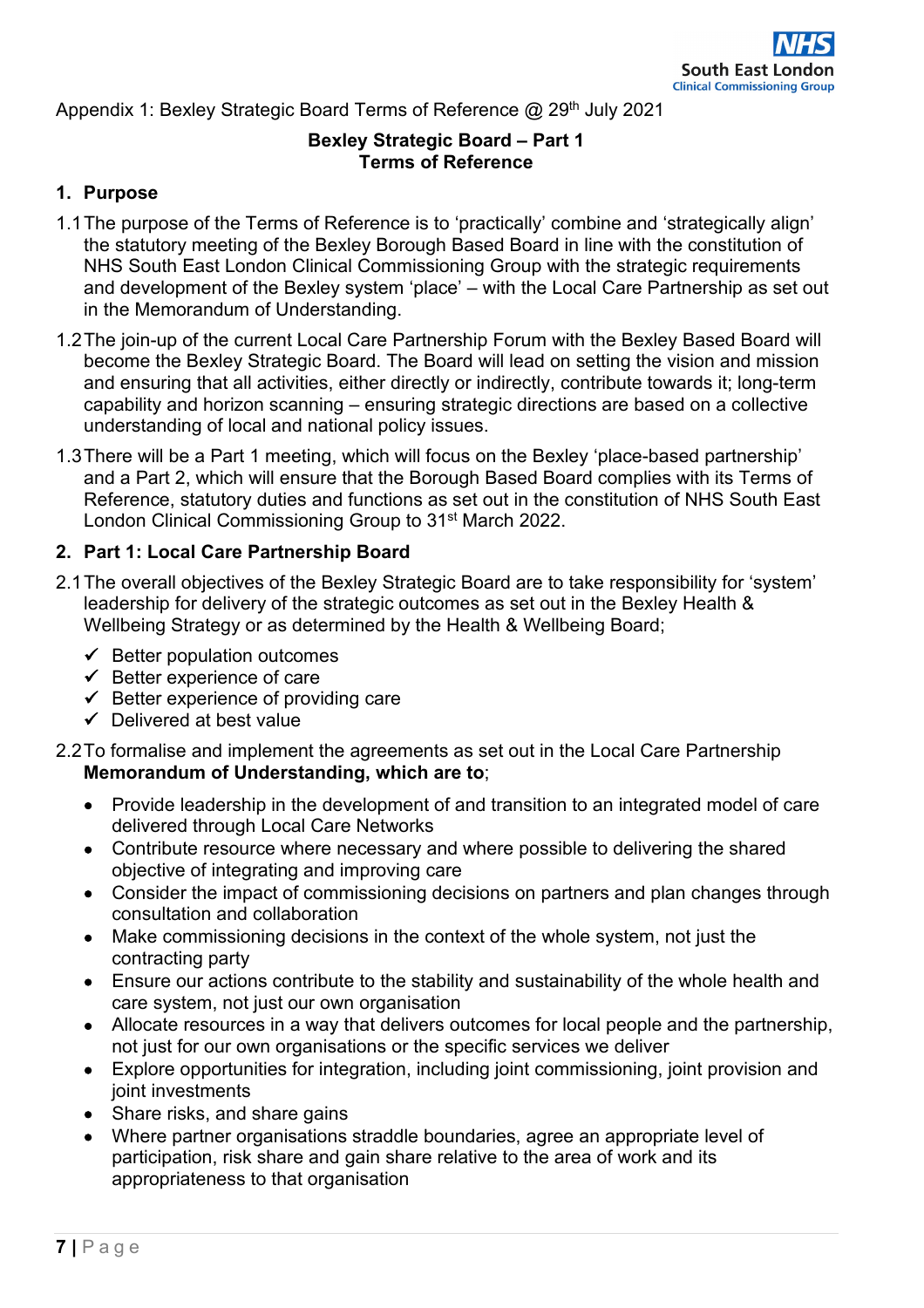Appendix 1: Bexley Strategic Board Terms of Reference @ 29<sup>th</sup> July 2021

## **Bexley Strategic Board – Part 1 Terms of Reference**

## **1. Purpose**

- 1.1The purpose of the Terms of Reference is to 'practically' combine and 'strategically align' the statutory meeting of the Bexley Borough Based Board in line with the constitution of NHS South East London Clinical Commissioning Group with the strategic requirements and development of the Bexley system 'place' – with the Local Care Partnership as set out in the Memorandum of Understanding.
- 1.2The join-up of the current Local Care Partnership Forum with the Bexley Based Board will become the Bexley Strategic Board. The Board will lead on setting the vision and mission and ensuring that all activities, either directly or indirectly, contribute towards it; long-term capability and horizon scanning – ensuring strategic directions are based on a collective understanding of local and national policy issues.
- 1.3There will be a Part 1 meeting, which will focus on the Bexley 'place-based partnership' and a Part 2, which will ensure that the Borough Based Board complies with its Terms of Reference, statutory duties and functions as set out in the constitution of NHS South East London Clinical Commissioning Group to 31<sup>st</sup> March 2022.

## **2. Part 1: Local Care Partnership Board**

- 2.1The overall objectives of the Bexley Strategic Board are to take responsibility for 'system' leadership for delivery of the strategic outcomes as set out in the Bexley Health & Wellbeing Strategy or as determined by the Health & Wellbeing Board;
	- $\checkmark$  Better population outcomes
	- $\checkmark$  Better experience of care
	- $\checkmark$  Better experience of providing care
	- $\checkmark$  Delivered at best value
- 2.2To formalise and implement the agreements as set out in the Local Care Partnership **Memorandum of Understanding, which are to**;
	- Provide leadership in the development of and transition to an integrated model of care delivered through Local Care Networks
	- Contribute resource where necessary and where possible to delivering the shared objective of integrating and improving care
	- Consider the impact of commissioning decisions on partners and plan changes through consultation and collaboration
	- Make commissioning decisions in the context of the whole system, not just the contracting party
	- Ensure our actions contribute to the stability and sustainability of the whole health and care system, not just our own organisation
	- Allocate resources in a way that delivers outcomes for local people and the partnership, not just for our own organisations or the specific services we deliver
	- Explore opportunities for integration, including joint commissioning, joint provision and joint investments
	- Share risks, and share gains
	- Where partner organisations straddle boundaries, agree an appropriate level of participation, risk share and gain share relative to the area of work and its appropriateness to that organisation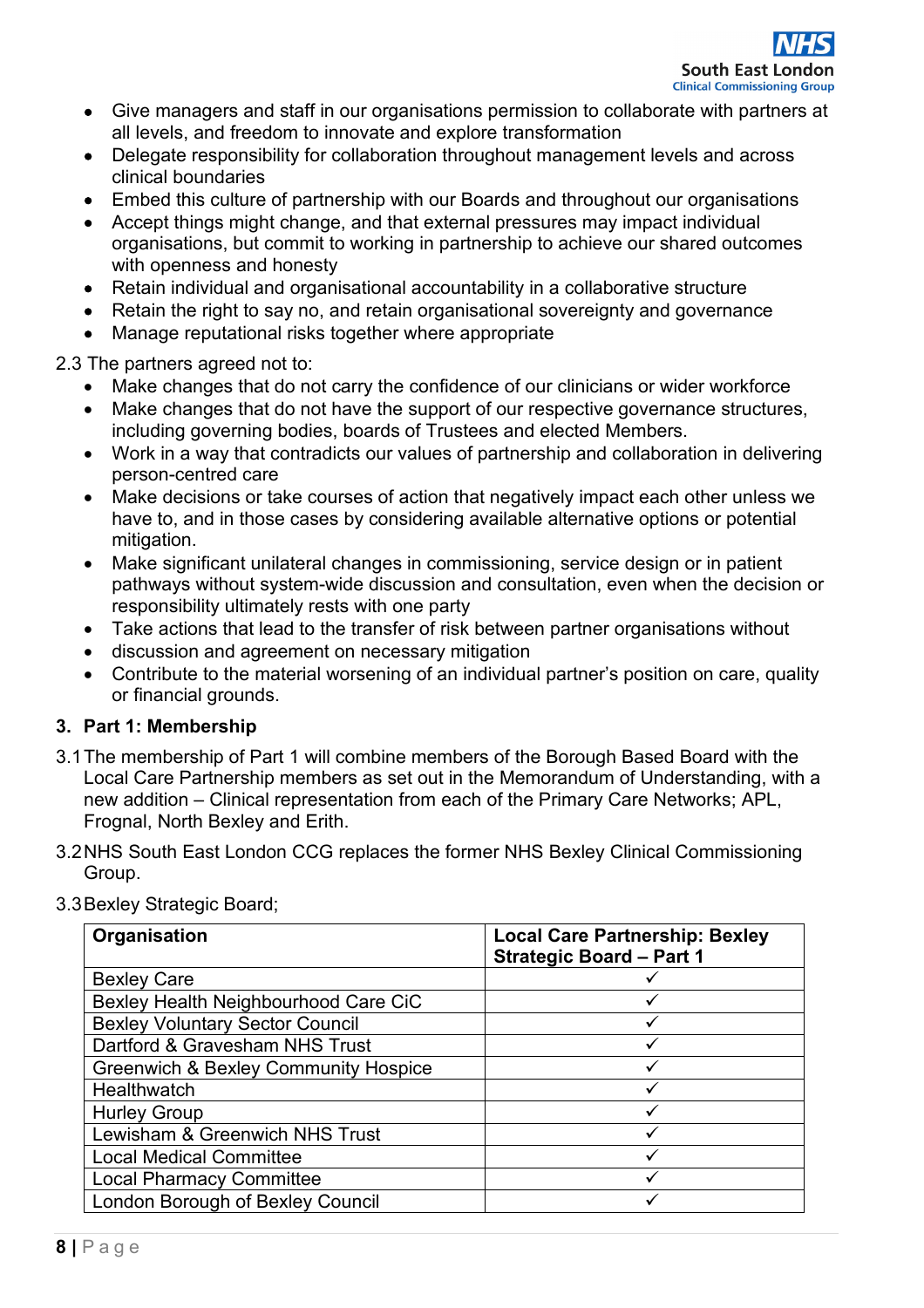- Give managers and staff in our organisations permission to collaborate with partners at all levels, and freedom to innovate and explore transformation
- Delegate responsibility for collaboration throughout management levels and across clinical boundaries
- Embed this culture of partnership with our Boards and throughout our organisations
- Accept things might change, and that external pressures may impact individual organisations, but commit to working in partnership to achieve our shared outcomes with openness and honesty
- Retain individual and organisational accountability in a collaborative structure
- Retain the right to say no, and retain organisational sovereignty and governance
- Manage reputational risks together where appropriate

2.3 The partners agreed not to:

- Make changes that do not carry the confidence of our clinicians or wider workforce
- Make changes that do not have the support of our respective governance structures, including governing bodies, boards of Trustees and elected Members.
- Work in a way that contradicts our values of partnership and collaboration in delivering person-centred care
- Make decisions or take courses of action that negatively impact each other unless we have to, and in those cases by considering available alternative options or potential mitigation.
- Make significant unilateral changes in commissioning, service design or in patient pathways without system-wide discussion and consultation, even when the decision or responsibility ultimately rests with one party
- Take actions that lead to the transfer of risk between partner organisations without
- discussion and agreement on necessary mitigation
- Contribute to the material worsening of an individual partner's position on care, quality or financial grounds.

## **3. Part 1: Membership**

- 3.1The membership of Part 1 will combine members of the Borough Based Board with the Local Care Partnership members as set out in the Memorandum of Understanding, with a new addition – Clinical representation from each of the Primary Care Networks; APL, Frognal, North Bexley and Erith.
- 3.2NHS South East London CCG replaces the former NHS Bexley Clinical Commissioning Group.

| Organisation                                    | <b>Local Care Partnership: Bexley</b><br><b>Strategic Board - Part 1</b> |
|-------------------------------------------------|--------------------------------------------------------------------------|
| <b>Bexley Care</b>                              |                                                                          |
| Bexley Health Neighbourhood Care CiC            |                                                                          |
| <b>Bexley Voluntary Sector Council</b>          |                                                                          |
| Dartford & Gravesham NHS Trust                  |                                                                          |
| <b>Greenwich &amp; Bexley Community Hospice</b> | ✓                                                                        |
| Healthwatch                                     |                                                                          |
| <b>Hurley Group</b>                             |                                                                          |
| Lewisham & Greenwich NHS Trust                  |                                                                          |
| <b>Local Medical Committee</b>                  |                                                                          |
| <b>Local Pharmacy Committee</b>                 |                                                                          |
| London Borough of Bexley Council                |                                                                          |

3.3Bexley Strategic Board;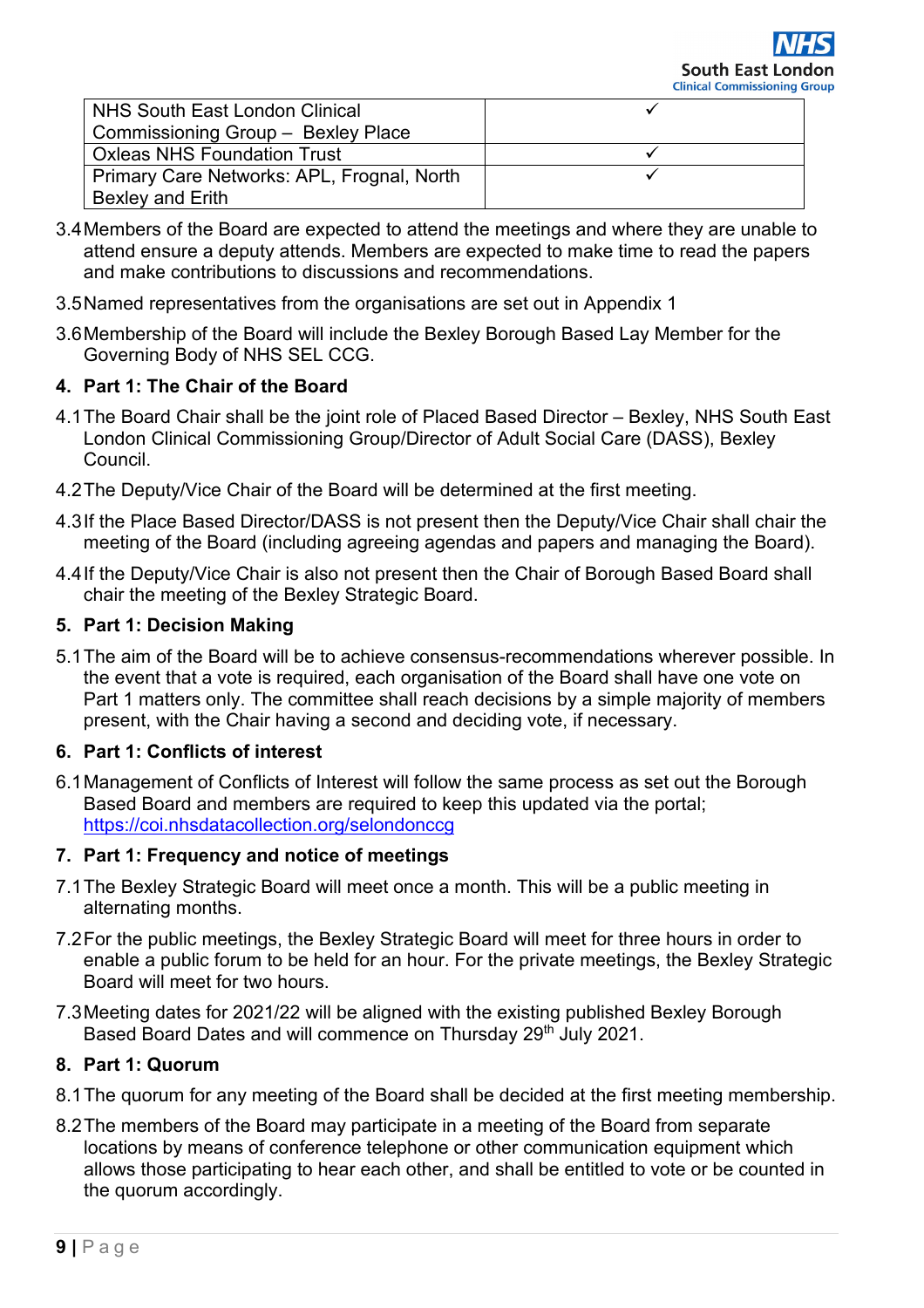| NHS South East London Clinical             |  |
|--------------------------------------------|--|
| Commissioning Group - Bexley Place         |  |
| <b>Oxleas NHS Foundation Trust</b>         |  |
| Primary Care Networks: APL, Frognal, North |  |
| <b>Bexley and Erith</b>                    |  |

- 3.4Members of the Board are expected to attend the meetings and where they are unable to attend ensure a deputy attends. Members are expected to make time to read the papers and make contributions to discussions and recommendations.
- 3.5Named representatives from the organisations are set out in Appendix 1
- 3.6Membership of the Board will include the Bexley Borough Based Lay Member for the Governing Body of NHS SEL CCG.

## **4. Part 1: The Chair of the Board**

- 4.1The Board Chair shall be the joint role of Placed Based Director Bexley, NHS South East London Clinical Commissioning Group/Director of Adult Social Care (DASS), Bexley Council.
- 4.2The Deputy/Vice Chair of the Board will be determined at the first meeting.
- 4.3If the Place Based Director/DASS is not present then the Deputy/Vice Chair shall chair the meeting of the Board (including agreeing agendas and papers and managing the Board).
- 4.4If the Deputy/Vice Chair is also not present then the Chair of Borough Based Board shall chair the meeting of the Bexley Strategic Board.

## **5. Part 1: Decision Making**

5.1The aim of the Board will be to achieve consensus-recommendations wherever possible. In the event that a vote is required, each organisation of the Board shall have one vote on Part 1 matters only. The committee shall reach decisions by a simple majority of members present, with the Chair having a second and deciding vote, if necessary.

## **6. Part 1: Conflicts of interest**

6.1Management of Conflicts of Interest will follow the same process as set out the Borough Based Board and members are required to keep this updated via the portal; <https://coi.nhsdatacollection.org/selondonccg>

### **7. Part 1: Frequency and notice of meetings**

- 7.1The Bexley Strategic Board will meet once a month. This will be a public meeting in alternating months.
- 7.2For the public meetings, the Bexley Strategic Board will meet for three hours in order to enable a public forum to be held for an hour. For the private meetings, the Bexley Strategic Board will meet for two hours.
- 7.3Meeting dates for 2021/22 will be aligned with the existing published Bexley Borough Based Board Dates and will commence on Thursday 29<sup>th</sup> July 2021.

## **8. Part 1: Quorum**

- 8.1The quorum for any meeting of the Board shall be decided at the first meeting membership.
- 8.2The members of the Board may participate in a meeting of the Board from separate locations by means of conference telephone or other communication equipment which allows those participating to hear each other, and shall be entitled to vote or be counted in the quorum accordingly.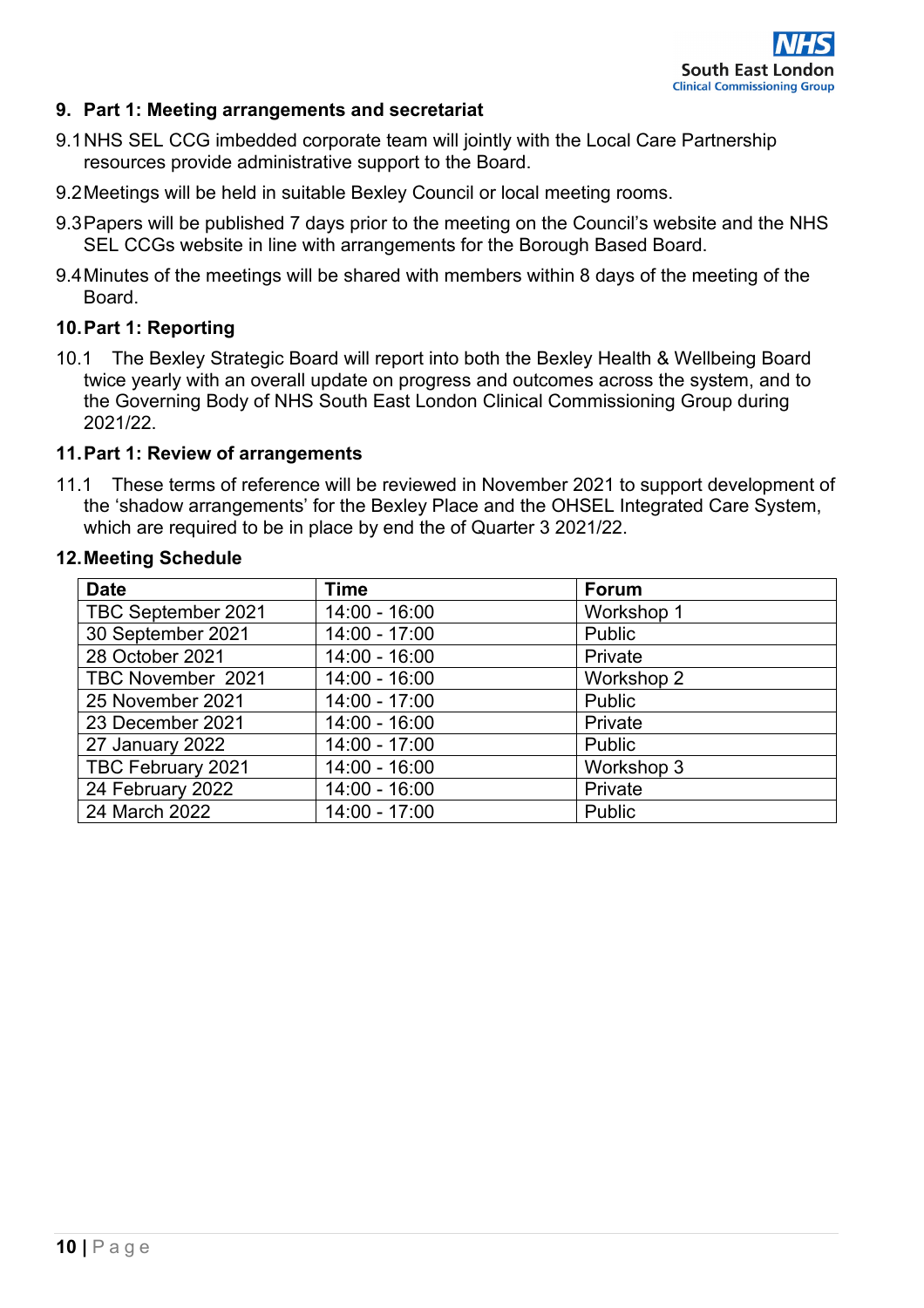

### **9. Part 1: Meeting arrangements and secretariat**

- 9.1NHS SEL CCG imbedded corporate team will jointly with the Local Care Partnership resources provide administrative support to the Board.
- 9.2Meetings will be held in suitable Bexley Council or local meeting rooms.
- 9.3Papers will be published 7 days prior to the meeting on the Council's website and the NHS SEL CCGs website in line with arrangements for the Borough Based Board.
- 9.4Minutes of the meetings will be shared with members within 8 days of the meeting of the Board.

### **10.Part 1: Reporting**

10.1 The Bexley Strategic Board will report into both the Bexley Health & Wellbeing Board twice yearly with an overall update on progress and outcomes across the system, and to the Governing Body of NHS South East London Clinical Commissioning Group during 2021/22.

#### **11.Part 1: Review of arrangements**

11.1 These terms of reference will be reviewed in November 2021 to support development of the 'shadow arrangements' for the Bexley Place and the OHSEL Integrated Care System, which are required to be in place by end the of Quarter 3 2021/22.

#### **12.Meeting Schedule**

| <b>Date</b>        | <b>Time</b>     | <b>Forum</b>  |
|--------------------|-----------------|---------------|
| TBC September 2021 | $14:00 - 16:00$ | Workshop 1    |
| 30 September 2021  | 14:00 - 17:00   | Public        |
| 28 October 2021    | $14:00 - 16:00$ | Private       |
| TBC November 2021  | $14:00 - 16:00$ | Workshop 2    |
| 25 November 2021   | $14:00 - 17:00$ | Public        |
| 23 December 2021   | $14:00 - 16:00$ | Private       |
| 27 January 2022    | $14:00 - 17:00$ | Public        |
| TBC February 2021  | $14:00 - 16:00$ | Workshop 3    |
| 24 February 2022   | $14:00 - 16:00$ | Private       |
| 24 March 2022      | $14:00 - 17:00$ | <b>Public</b> |